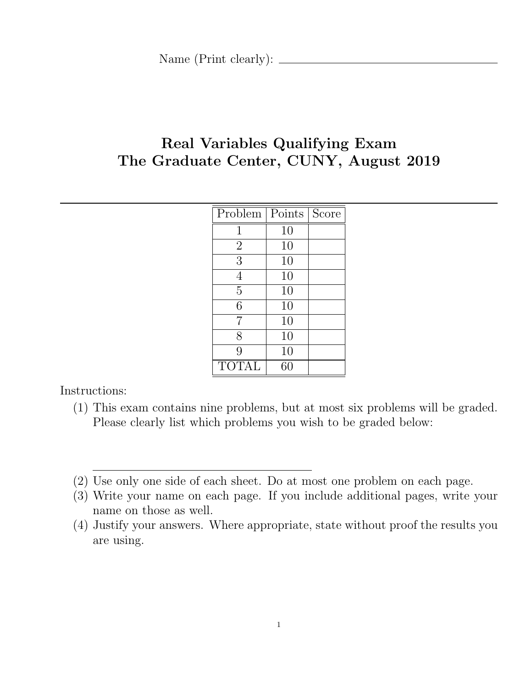# Real Variables Qualifying Exam The Graduate Center, CUNY, August 2019

| Problem        | Points | Score |
|----------------|--------|-------|
| 1              | 10     |       |
| $\overline{2}$ | 10     |       |
| 3              | 10     |       |
| 4              | 10     |       |
| 5              | 10     |       |
| 6              | 10     |       |
| 7              | 10     |       |
| 8              | 10     |       |
| 9              | 10     |       |
| <b>TOTAL</b>   | 60     |       |

Instructions:

- (1) This exam contains nine problems, but at most six problems will be graded. Please clearly list which problems you wish to be graded below:
- (2) Use only one side of each sheet. Do at most one problem on each page.
- (3) Write your name on each page. If you include additional pages, write your name on those as well.
- (4) Justify your answers. Where appropriate, state without proof the results you are using.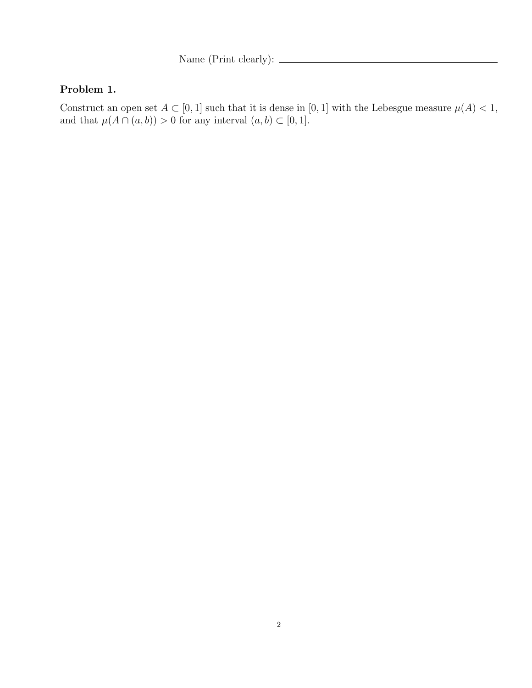Name (Print clearly):  $\qquad \qquad$ 

#### Problem 1.

Construct an open set  $A \subset [0,1]$  such that it is dense in  $[0,1]$  with the Lebesgue measure  $\mu(A) < 1$ , and that  $\mu(A \cap (a, b)) > 0$  for any interval  $(a, b) \subset [0, 1]$ .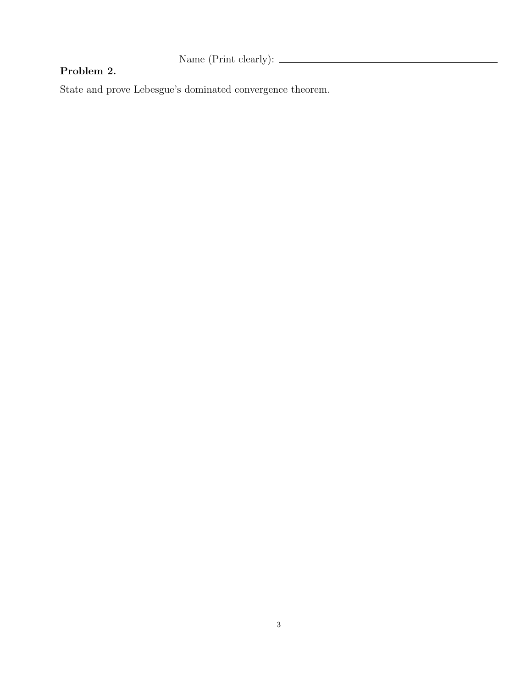Name (Print clearly):  $\qquad \qquad$ 

### Problem 2.

State and prove Lebesgue's dominated convergence theorem.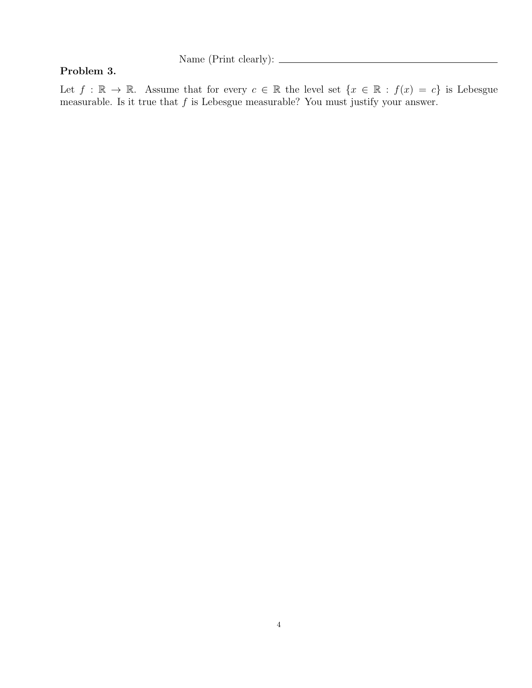#### Problem 3.

Let  $f : \mathbb{R} \to \mathbb{R}$ . Assume that for every  $c \in \mathbb{R}$  the level set  $\{x \in \mathbb{R} : f(x) = c\}$  is Lebesgue measurable. Is it true that  $f$  is Lebesgue measurable? You must justify your answer.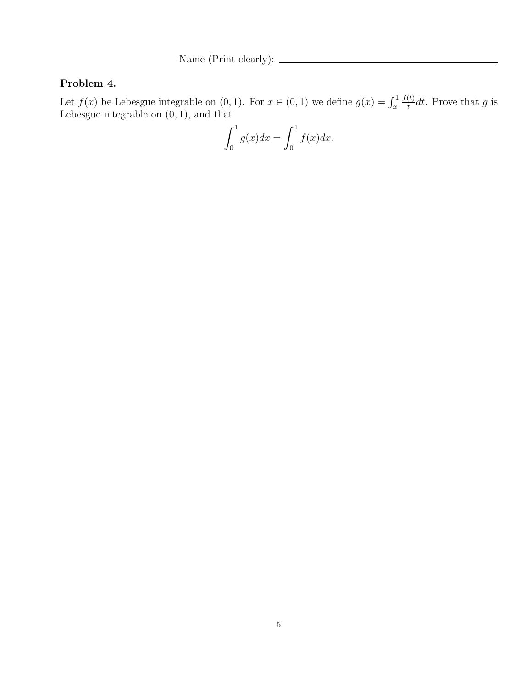### Problem 4.

Let  $f(x)$  be Lebesgue integrable on  $(0, 1)$ . For  $x \in (0, 1)$  we define  $g(x) = \int_x^1$  $f(t)$  $\frac{d(t)}{dt}dt$ . Prove that g is Lebesgue integrable on (0, 1), and that

$$
\int_0^1 g(x)dx = \int_0^1 f(x)dx.
$$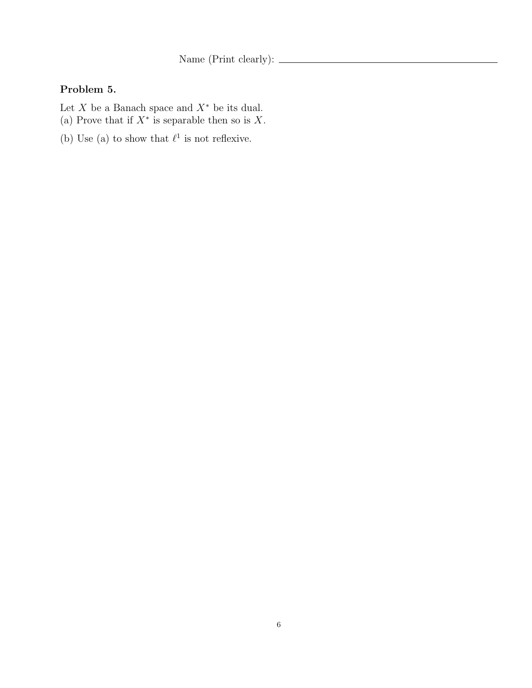Name (Print clearly):  $\sqrt{\frac{m}{m}}$ 

# Problem 5.

- Let  $X$  be a Banach space and  $X^*$  be its dual.
- (a) Prove that if  $X^*$  is separable then so is X.
- (b) Use (a) to show that  $\ell^1$  is not reflexive.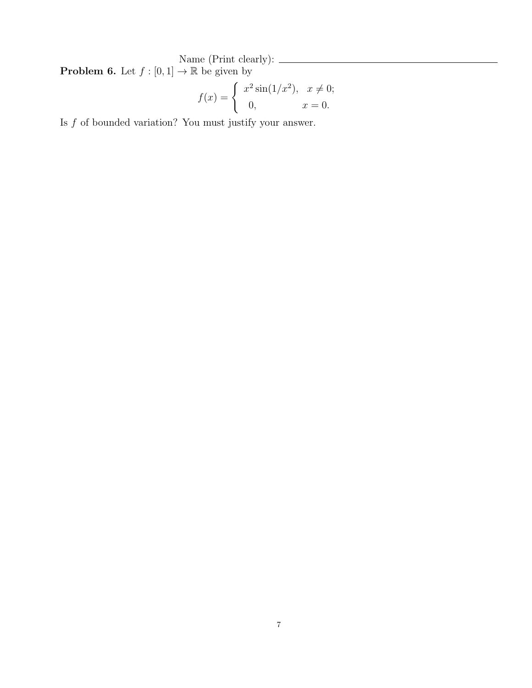Name (Print clearly): **Problem 6.** Let  $f : [0,1] \to \mathbb{R}$  be given by

$$
f(x) = \begin{cases} x^2 \sin(1/x^2), & x \neq 0; \\ 0, & x = 0. \end{cases}
$$

Is  $f$  of bounded variation? You must justify your answer.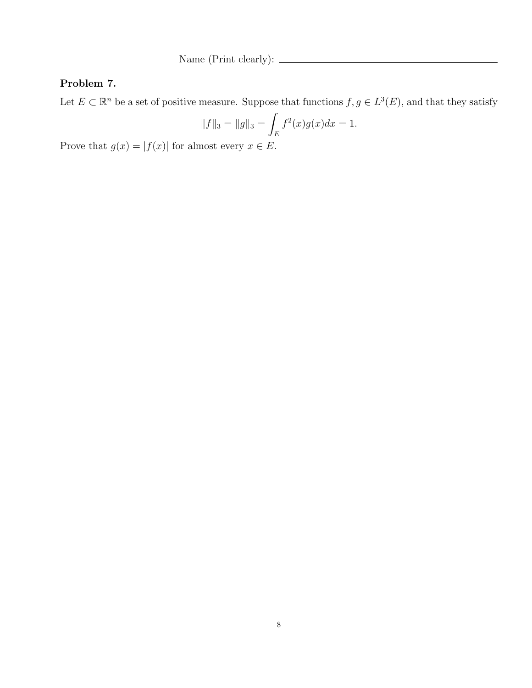### Problem 7.

Let  $E \subset \mathbb{R}^n$  be a set of positive measure. Suppose that functions  $f, g \in L^3(E)$ , and that they satisfy

$$
||f||_3 = ||g||_3 = \int_E f^2(x)g(x)dx = 1.
$$

Prove that  $g(x) = |f(x)|$  for almost every  $x \in E$ .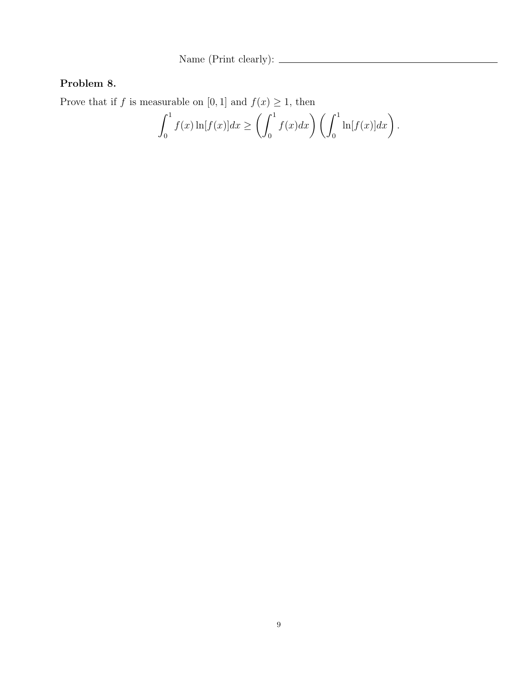# Problem 8.

Prove that if f is measurable on [0, 1] and  $f(x) \ge 1$ , then

$$
\int_0^1 f(x) \ln[f(x)] dx \ge \left( \int_0^1 f(x) dx \right) \left( \int_0^1 \ln[f(x)] dx \right).
$$